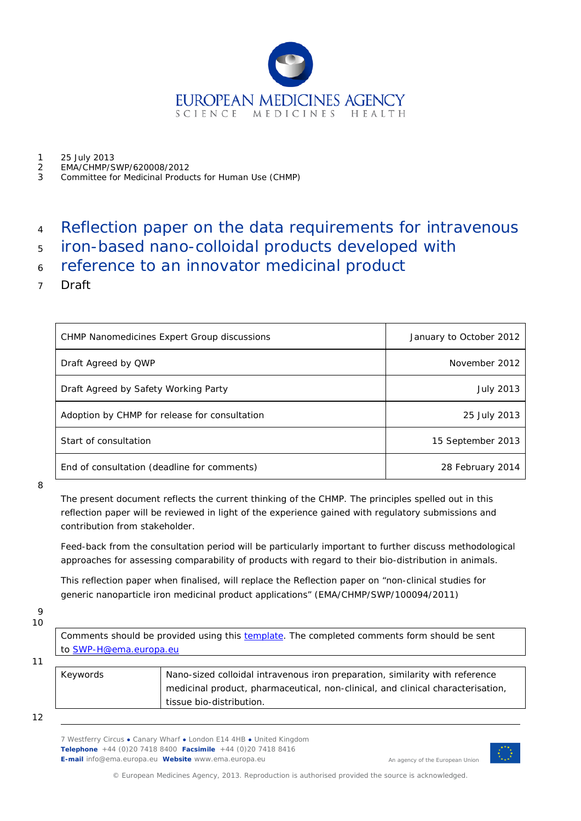

- 1 25 July 2013<br>2 EMA/CHMP/S
- 2 EMA/CHMP/SWP/620008/2012
- 3 Committee for Medicinal Products for Human Use (CHMP)

# <sup>4</sup> Reflection paper on the data requirements for intravenous

- <sup>5</sup> iron-based nano-colloidal products developed with
- <sup>6</sup> reference to an innovator medicinal product
- 7 Draft

| <b>CHMP Nanomedicines Expert Group discussions</b> | January to October 2012 |
|----------------------------------------------------|-------------------------|
| Draft Agreed by QWP                                | November 2012           |
| Draft Agreed by Safety Working Party               | July 2013               |
| Adoption by CHMP for release for consultation      | 25 July 2013            |
| Start of consultation                              | 15 September 2013       |
| End of consultation (deadline for comments)        | 28 February 2014        |

8

The present document reflects the current thinking of the CHMP. The principles spelled out in this reflection paper will be reviewed in light of the experience gained with regulatory submissions and contribution from stakeholder.

Feed-back from the consultation period will be particularly important to further discuss methodological approaches for assessing comparability of products with regard to their bio-distribution in animals.

This reflection paper when finalised, will replace the Reflection paper on "non-clinical studies for generic nanoparticle iron medicinal product applications" (EMA/CHMP/SWP/100094/2011)

 $\Omega$ 

10

11

Comments should be provided using this **template**. The completed comments form should be sent to [SWP-H@ema.europa.eu](mailto:SWP-H@ema.europa.eu)

| Keywords | Nano-sized colloidal intravenous iron preparation, similarity with reference    |
|----------|---------------------------------------------------------------------------------|
|          | medicinal product, pharmaceutical, non-clinical, and clinical characterisation, |
|          | tissue bio-distribution.                                                        |
|          |                                                                                 |

12

7 Westferry Circus **●** Canary Wharf **●** London E14 4HB **●** United Kingdom **Telephone** +44 (0)20 7418 8400 **Facsimile** +44 (0)20 7418 8416 **E-mail** info@ema.europa.eu **Website** www.ema.europa.eu



An agency of the European Union

© European Medicines Agency, 2013. Reproduction is authorised provided the source is acknowledged.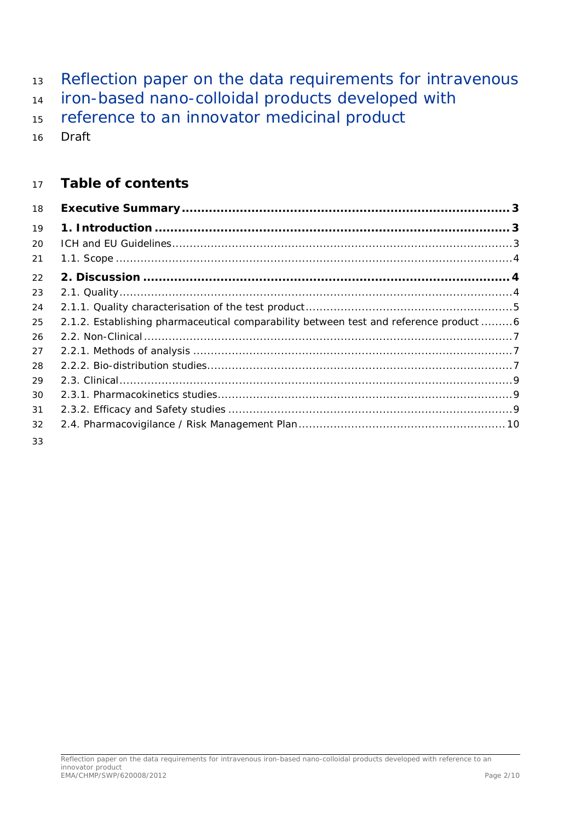- 13 Reflection paper on the data requirements for intravenous
- iron-based nano-colloidal products developed with
- 15 reference to an innovator medicinal product
- Draft

# **Table of contents**

| 18 |                                                                                     |  |
|----|-------------------------------------------------------------------------------------|--|
| 19 |                                                                                     |  |
| 20 |                                                                                     |  |
| 21 |                                                                                     |  |
| 22 |                                                                                     |  |
| 23 |                                                                                     |  |
| 24 |                                                                                     |  |
| 25 | 2.1.2. Establishing pharmaceutical comparability between test and reference product |  |
| 26 |                                                                                     |  |
| 27 |                                                                                     |  |
| 28 |                                                                                     |  |
| 29 |                                                                                     |  |
| 30 |                                                                                     |  |
| 31 |                                                                                     |  |
| 32 |                                                                                     |  |
| 33 |                                                                                     |  |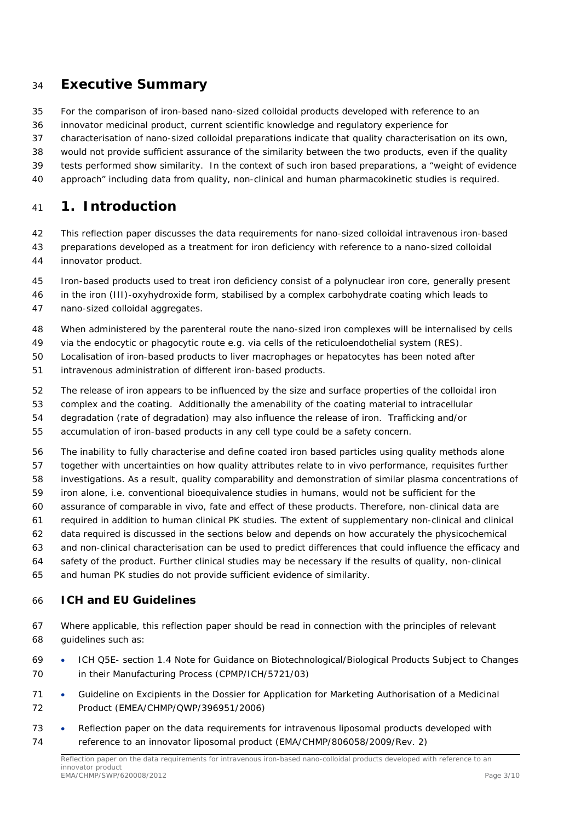# <span id="page-2-0"></span>**Executive Summary**

- For the comparison of iron-based nano-sized colloidal products developed with reference to an
- innovator medicinal product, current scientific knowledge and regulatory experience for
- characterisation of nano-sized colloidal preparations indicate that quality characterisation on its own,
- would not provide sufficient assurance of the similarity between the two products, even if the quality
- tests performed show similarity. In the context of such iron based preparations, a "weight of evidence
- approach" including data from quality, non-clinical and human pharmacokinetic studies is required.

# <span id="page-2-1"></span>**1. Introduction**

- This reflection paper discusses the data requirements for nano-sized colloidal intravenous iron-based
- preparations developed as a treatment for iron deficiency with reference to a nano-sized colloidal innovator product.
- Iron-based products used to treat iron deficiency consist of a polynuclear iron core, generally present
- in the iron (III)-oxyhydroxide form, stabilised by a complex carbohydrate coating which leads to nano-sized colloidal aggregates.
- When administered by the parenteral route the nano-sized iron complexes will be internalised by cells
- *via* the endocytic or phagocytic route e.g. via cells of the reticuloendothelial system (RES).
- Localisation of iron-based products to liver macrophages or hepatocytes has been noted after
- intravenous administration of different iron-based products.
- The release of iron appears to be influenced by the size and surface properties of the colloidal iron
- complex and the coating. Additionally the amenability of the coating material to intracellular
- degradation (rate of degradation) may also influence the release of iron. Trafficking and/or
- accumulation of iron-based products in any cell type could be a safety concern.
- The inability to fully characterise and define coated iron based particles using quality methods alone
- together with uncertainties on how quality attributes relate to *in vivo* performance, requisites further
- investigations. As a result, quality comparability and demonstration of similar plasma concentrations of
- iron alone, i.e. conventional bioequivalence studies in humans, would not be sufficient for the
- assurance of comparable *in vivo,* fate and effect of these products. Therefore, non-clinical data are
- required in addition to human clinical PK studies. The extent of supplementary non-clinical and clinical
- data required is discussed in the sections below and depends on how accurately the physicochemical
- and non-clinical characterisation can be used to predict differences that could influence the efficacy and
- safety of the product. Further clinical studies may be necessary if the results of quality, non-clinical
- and human PK studies do not provide sufficient evidence of similarity.

#### <span id="page-2-2"></span>*ICH and EU Guidelines*

- Where applicable, this reflection paper should be read in connection with the principles of relevant guidelines such as:
- ICH Q5E- section 1.4 Note for Guidance on Biotechnological/Biological Products Subject to Changes in their Manufacturing Process (CPMP/ICH/5721/03)
- 71 Guideline on Excipients in the Dossier for Application for Marketing Authorisation of a Medicinal Product (EMEA/CHMP/QWP/396951/2006)
- [Reflection paper on the data requirements for intravenous liposomal products developed](http://www.ema.europa.eu/docs/en_GB/document_library/Scientific_guideline/2013/03/WC500140351.pdf) with [reference to an innovator liposomal product \(](http://www.ema.europa.eu/docs/en_GB/document_library/Scientific_guideline/2013/03/WC500140351.pdf)EMA/CHMP/806058/2009/Rev. 2)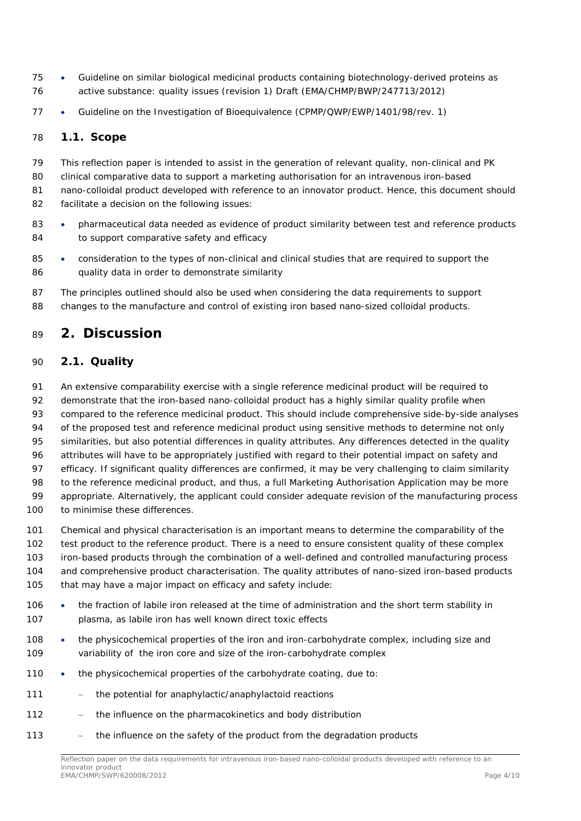- Guideline on similar biological medicinal products containing biotechnology-derived proteins as active substance: quality issues (revision 1) Draft (EMA/CHMP/BWP/247713/2012)
- Guideline on the Investigation of Bioequivalence (CPMP/QWP/EWP/1401/98/rev. 1)

#### <span id="page-3-0"></span>*1.1. Scope*

 This reflection paper is intended to assist in the generation of relevant quality, non-clinical and PK clinical comparative data to support a marketing authorisation for an intravenous iron-based nano-colloidal product developed with reference to an innovator product. Hence, this document should facilitate a decision on the following issues:

- 83 pharmaceutical data needed as evidence of product similarity between test and reference products 84 to support comparative safety and efficacy
- 85 consideration to the types of non-clinical and clinical studies that are required to support the 86 quality data in order to demonstrate similarity
- The principles outlined should also be used when considering the data requirements to support changes to the manufacture and control of existing iron based nano-sized colloidal products.

# <span id="page-3-1"></span>**2. Discussion**

#### <span id="page-3-2"></span>*2.1. Quality*

 An extensive comparability exercise with a single reference medicinal product will be required to 92 demonstrate that the iron-based nano-colloidal product has a highly similar quality profile when compared to the reference medicinal product. This should include comprehensive side-by-side analyses of the proposed test and reference medicinal product using sensitive methods to determine not only similarities, but also potential differences in quality attributes. Any differences detected in the quality attributes will have to be appropriately justified with regard to their potential impact on safety and efficacy. If significant quality differences are confirmed, it may be very challenging to claim similarity to the reference medicinal product, and thus, a full Marketing Authorisation Application may be more appropriate. Alternatively, the applicant could consider adequate revision of the manufacturing process 100 to minimise these differences.

 Chemical and physical characterisation is an important means to determine the comparability of the test product to the reference product. There is a need to ensure consistent quality of these complex iron-based products through the combination of a well-defined and controlled manufacturing process and comprehensive product characterisation. The quality attributes of nano-sized iron-based products 105 that may have a major impact on efficacy and safety include:

- the fraction of labile iron released at the time of administration and the short term stability in plasma, as labile iron has well known direct toxic effects
- 108 the physicochemical properties of the iron and iron-carbohydrate complex, including size and variability of the iron core and size of the iron-carbohydrate complex
- 110 the physicochemical properties of the carbohydrate coating, due to:
- 111 the potential for anaphylactic/anaphylactoid reactions
- − the influence on the pharmacokinetics and body distribution
- 113 the influence on the safety of the product from the degradation products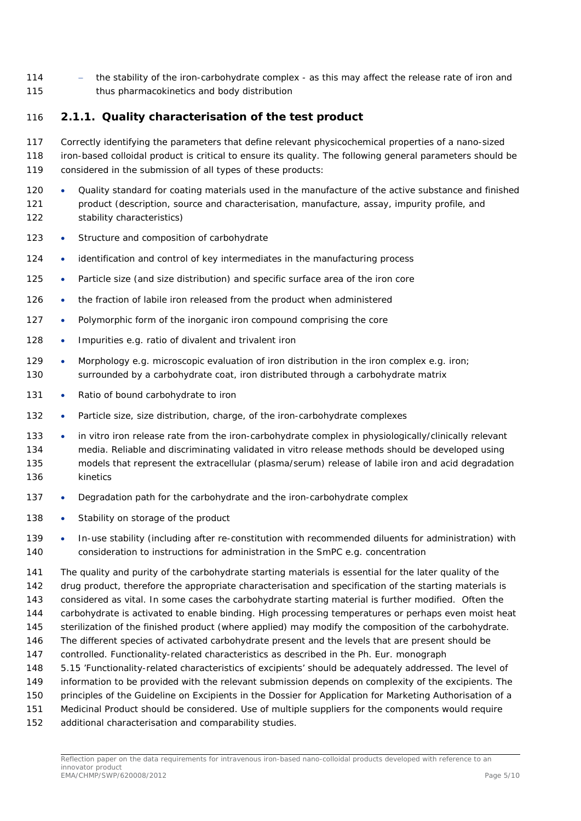114 - the stability of the iron-carbohydrate complex - as this may affect the release rate of iron and thus pharmacokinetics and body distribution

#### <span id="page-4-0"></span>**2.1.1. Quality characterisation of the test product**

- Correctly identifying the parameters that define relevant physicochemical properties of a nano-sized iron-based colloidal product is critical to ensure its quality. The following general parameters should be
- considered in the submission of all types of these products:
- 120 Quality standard for coating materials used in the manufacture of the active substance and finished product (description, source and characterisation, manufacture, assay, impurity profile, and stability characteristics)
- 123 Structure and composition of carbohydrate
- 124 identification and control of key intermediates in the manufacturing process
- 125 Particle size (and size distribution) and specific surface area of the iron core
- 126 the fraction of labile iron released from the product when administered
- Polymorphic form of the inorganic iron compound comprising the core
- 128 Impurities e.g. ratio of divalent and trivalent iron
- 129 Morphology e.g. microscopic evaluation of iron distribution in the iron complex e.g. iron; surrounded by a carbohydrate coat, iron distributed through a carbohydrate matrix
- 131 Ratio of bound carbohydrate to iron
- Particle size, size distribution, charge, of the iron-carbohydrate complexes
- *in vitro* iron release rate from the iron-carbohydrate complex in physiologically/clinically relevant media. Reliable and discriminating validated *in vitro* release methods should be developed using models that represent the extracellular (plasma/serum) release of labile iron and acid degradation kinetics
- Degradation path for the carbohydrate and the iron-carbohydrate complex
- 138 Stability on storage of the product

139 • In-use stability (including after re-constitution with recommended diluents for administration) with consideration to instructions for administration in the SmPC e.g. concentration

 The quality and purity of the carbohydrate starting materials is essential for the later quality of the drug product, therefore the appropriate characterisation and specification of the starting materials is considered as vital. In some cases the carbohydrate starting material is further modified. Often the carbohydrate is activated to enable binding. High processing temperatures or perhaps even moist heat sterilization of the finished product (where applied) may modify the composition of the carbohydrate. The different species of activated carbohydrate present and the levels that are present should be controlled. Functionality-related characteristics as described in the Ph. Eur. monograph 5.15 'Functionality-related characteristics of excipients' should be adequately addressed. The level of information to be provided with the relevant submission depends on complexity of the excipients. The principles of the Guideline on Excipients in the Dossier for Application for Marketing Authorisation of a Medicinal Product should be considered. Use of multiple suppliers for the components would require

additional characterisation and comparability studies.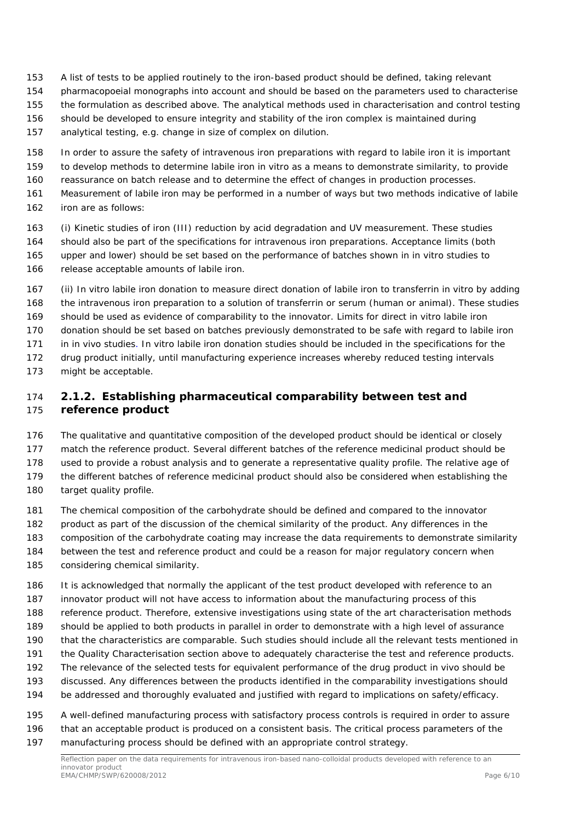- A list of tests to be applied routinely to the iron-based product should be defined, taking relevant
- pharmacopoeial monographs into account and should be based on the parameters used to characterise
- the formulation as described above. The analytical methods used in characterisation and control testing
- should be developed to ensure integrity and stability of the iron complex is maintained during
- analytical testing, e.g. change in size of complex on dilution.
- In order to assure the safety of intravenous iron preparations with regard to labile iron it is important
- to develop methods to determine labile iron *in vitro* as a means to demonstrate similarity, to provide
- reassurance on batch release and to determine the effect of changes in production processes.
- Measurement of labile iron may be performed in a number of ways but two methods indicative of labile
- iron are as follows:
- (i) Kinetic studies of iron (III) reduction by acid degradation and UV measurement. These studies should also be part of the specifications for intravenous iron preparations. Acceptance limits (both upper and lower) should be set based on the performance of batches shown in *in vitro* studies to release acceptable amounts of labile iron.
- (ii) *In vitro* labile iron donation to measure direct donation of labile iron to transferrin *in vitro* by adding the intravenous iron preparation to a solution of transferrin or serum (human or animal). These studies should be used as evidence of comparability to the innovator. Limits for direct *in vitro* labile iron donation should be set based on batches previously demonstrated to be safe with regard to labile iron in *in vivo* studies. *In vitro* labile iron donation studies should be included in the specifications for the drug product initially, until manufacturing experience increases whereby reduced testing intervals 173 might be acceptable.

#### <span id="page-5-0"></span> **2.1.2. Establishing pharmaceutical comparability between test and reference product**

- The qualitative and quantitative composition of the developed product should be identical or closely match the reference product. Several different batches of the reference medicinal product should be used to provide a robust analysis and to generate a representative quality profile. The relative age of the different batches of reference medicinal product should also be considered when establishing the 180 target quality profile.
- The chemical composition of the carbohydrate should be defined and compared to the innovator
- product as part of the discussion of the chemical similarity of the product. Any differences in the composition of the carbohydrate coating may increase the data requirements to demonstrate similarity between the test and reference product and could be a reason for major regulatory concern when
- considering chemical similarity.
- It is acknowledged that normally the applicant of the test product developed with reference to an
- innovator product will not have access to information about the manufacturing process of this
- reference product. Therefore, extensive investigations using state of the art characterisation methods
- should be applied to both products in parallel in order to demonstrate with a high level of assurance
- that the characteristics are comparable. Such studies should include all the relevant tests mentioned in
- the *Quality Characterisation* section above to adequately characterise the test and reference products. The relevance of the selected tests for equivalent performance of the drug product *in vivo* should be
- discussed. Any differences between the products identified in the comparability investigations should
- be addressed and thoroughly evaluated and justified with regard to implications on safety/efficacy.
- A well-defined manufacturing process with satisfactory process controls is required in order to assure that an acceptable product is produced on a consistent basis. The critical process parameters of the
- manufacturing process should be defined with an appropriate control strategy.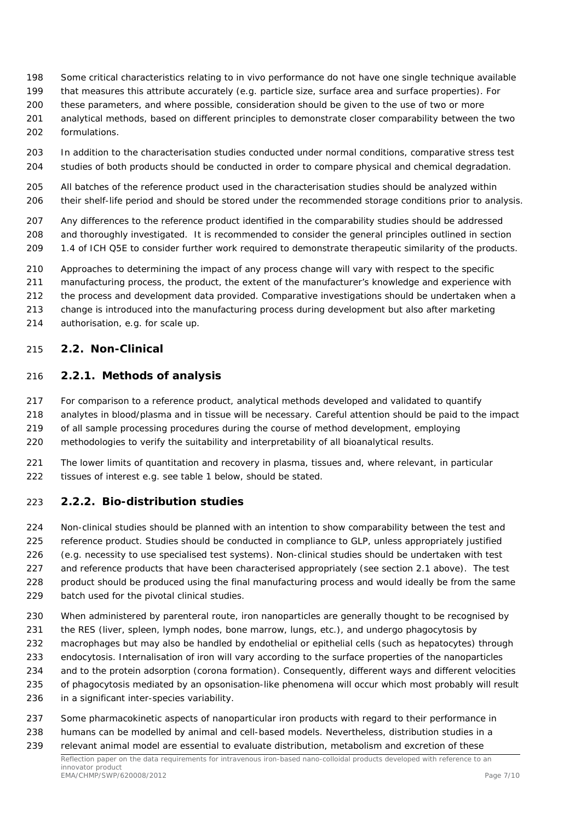- Some critical characteristics relating to *in vivo* performance do not have one single technique available
- that measures this attribute accurately (e.g. particle size, surface area and surface properties). For
- these parameters, and where possible, consideration should be given to the use of two or more
- analytical methods, based on different principles to demonstrate closer comparability between the two formulations.
- In addition to the characterisation studies conducted under normal conditions, comparative stress test studies of both products should be conducted in order to compare physical and chemical degradation.
- All batches of the reference product used in the characterisation studies should be analyzed within their shelf-life period and should be stored under the recommended storage conditions prior to analysis.
- Any differences to the reference product identified in the comparability studies should be addressed and thoroughly investigated. It is recommended to consider the general principles outlined in section
- 1.4 of ICH Q5E to consider further work required to demonstrate therapeutic similarity of the products.
- Approaches to determining the impact of any process change will vary with respect to the specific
- manufacturing process, the product, the extent of the manufacturer's knowledge and experience with
- the process and development data provided. Comparative investigations should be undertaken when a
- change is introduced into the manufacturing process during development but also after marketing
- authorisation, e.g. for scale up.

#### <span id="page-6-0"></span>*2.2. Non-Clinical*

#### <span id="page-6-1"></span>**2.2.1. Methods of analysis**

- For comparison to a reference product, analytical methods developed and validated to quantify
- analytes in blood/plasma and in tissue will be necessary. Careful attention should be paid to the impact
- of all sample processing procedures during the course of method development, employing
- methodologies to verify the suitability and interpretability of all bioanalytical results.
- The lower limits of quantitation and recovery in plasma, tissues and, where relevant, in particular 222 tissues of interest e.g. see table 1 below, should be stated.

#### <span id="page-6-2"></span>**2.2.2. Bio-distribution studies**

- Non-clinical studies should be planned with an intention to show comparability between the test and reference product. Studies should be conducted in compliance to GLP, unless appropriately justified
- (e.g. necessity to use specialised test systems). Non-clinical studies should be undertaken with test 227 and reference products that have been characterised appropriately (see section 2.1 above). The test
- product should be produced using the final manufacturing process and would ideally be from the same
- batch used for the pivotal clinical studies.
- 230 When administered by parenteral route, iron nanoparticles are generally thought to be recognised by
- the RES (liver, spleen, lymph nodes, bone marrow, lungs, etc.), and undergo phagocytosis by
- macrophages but may also be handled by endothelial or epithelial cells (such as hepatocytes) through
- endocytosis. Internalisation of iron will vary according to the surface properties of the nanoparticles
- and to the protein adsorption (corona formation). Consequently, different ways and different velocities
- of phagocytosis mediated by an opsonisation-like phenomena will occur which most probably will result
- in a significant inter-species variability.
- Some pharmacokinetic aspects of nanoparticular iron products with regard to their performance in
- humans can be modelled by animal and cell-based models. Nevertheless, distribution studies in a
- relevant animal model are essential to evaluate distribution, metabolism and excretion of these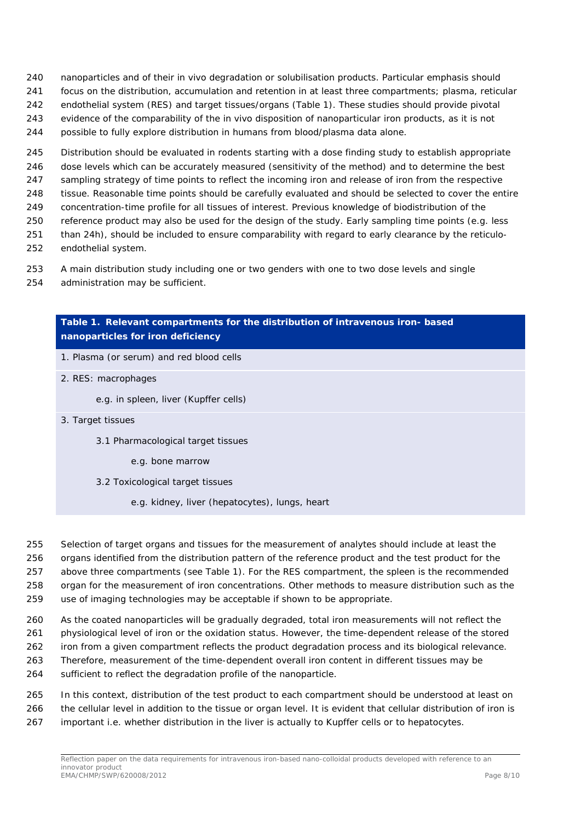- nanoparticles and of their *in vivo* degradation or solubilisation products. Particular emphasis should
- focus on the distribution, accumulation and retention in at least three compartments; plasma, reticular
- endothelial system (RES) and target tissues/organs (Table 1). These studies should provide pivotal
- evidence of the comparability of the *in vivo* disposition of nanoparticular iron products, as it is not
- possible to fully explore distribution in humans from blood/plasma data alone.
- Distribution should be evaluated in rodents starting with a dose finding study to establish appropriate
- dose levels which can be accurately measured (sensitivity of the method) and to determine the best
- sampling strategy of time points to reflect the incoming iron and release of iron from the respective tissue. Reasonable time points should be carefully evaluated and should be selected to cover the entire
- concentration-time profile for all tissues of interest. Previous knowledge of biodistribution of the
- reference product may also be used for the design of the study. Early sampling time points (e.g. less
- than 24h), should be included to ensure comparability with regard to early clearance by the reticulo-
- endothelial system.
- A main distribution study including one or two genders with one to two dose levels and single
- administration may be sufficient.

## **Table 1. Relevant compartments for the distribution of intravenous iron- based nanoparticles for iron deficiency**

- 1. Plasma (or serum) and red blood cells
- 2. RES: macrophages
	- e.g. in spleen, liver (Kupffer cells)
- 3. Target tissues
	- 3.1 Pharmacological target tissues
		- e.g. bone marrow
	- 3.2 Toxicological target tissues
		- e.g. kidney, liver (hepatocytes), lungs, heart
- Selection of target organs and tissues for the measurement of analytes should include at least the
- organs identified from the distribution pattern of the reference product and the test product for the above three compartments (see Table 1). For the RES compartment, the spleen is the recommended
- organ for the measurement of iron concentrations. Other methods to measure distribution such as the
- use of imaging technologies may be acceptable if shown to be appropriate.
- As the coated nanoparticles will be gradually degraded, total iron measurements will not reflect the
- physiological level of iron or the oxidation status. However, the time-dependent release of the stored
- iron from a given compartment reflects the product degradation process and its biological relevance.
- Therefore, measurement of the time-dependent overall iron content in different tissues may be
- sufficient to reflect the degradation profile of the nanoparticle.
- In this context, distribution of the test product to each compartment should be understood at least on the cellular level in addition to the tissue or organ level. It is evident that cellular distribution of iron is important i.e. whether distribution in the liver is actually to Kupffer cells or to hepatocytes.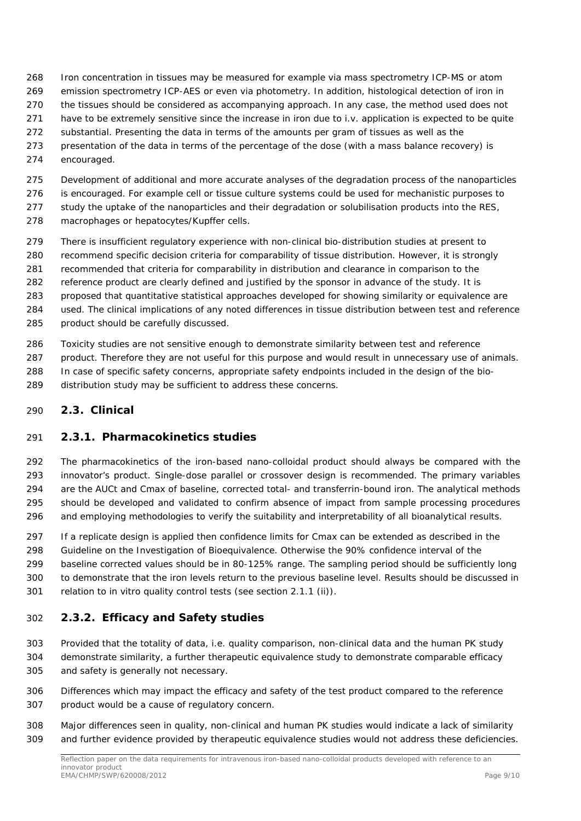- Iron concentration in tissues may be measured for example via mass spectrometry ICP-MS or atom
- emission spectrometry ICP-AES or even via photometry. In addition, histological detection of iron in
- the tissues should be considered as accompanying approach. In any case, the method used does not
- have to be extremely sensitive since the increase in iron due to i.v. application is expected to be quite
- substantial. Presenting the data in terms of the amounts per gram of tissues as well as the
- presentation of the data in terms of the percentage of the dose (with a mass balance recovery) is
- encouraged.
- Development of additional and more accurate analyses of the degradation process of the nanoparticles
- is encouraged. For example cell or tissue culture systems could be used for mechanistic purposes to
- 277 study the uptake of the nanoparticles and their degradation or solubilisation products into the RES,
- macrophages or hepatocytes/Kupffer cells.
- There is insufficient regulatory experience with non-clinical bio-distribution studies at present to
- recommend specific decision criteria for comparability of tissue distribution. However, it is strongly
- recommended that criteria for comparability in distribution and clearance in comparison to the
- reference product are clearly defined and justified by the sponsor in advance of the study. It is proposed that quantitative statistical approaches developed for showing similarity or equivalence are
- used. The clinical implications of any noted differences in tissue distribution between test and reference
- product should be carefully discussed.
- Toxicity studies are not sensitive enough to demonstrate similarity between test and reference
- product. Therefore they are not useful for this purpose and would result in unnecessary use of animals. In case of specific safety concerns, appropriate safety endpoints included in the design of the bio-
- distribution study may be sufficient to address these concerns.

#### <span id="page-8-0"></span>*2.3. Clinical*

## <span id="page-8-1"></span>**2.3.1. Pharmacokinetics studies**

 The pharmacokinetics of the iron-based nano-colloidal product should always be compared with the innovator's product. Single-dose parallel or crossover design is recommended. The primary variables are the AUCt and Cmax of baseline, corrected total- and transferrin-bound iron. The analytical methods should be developed and validated to confirm absence of impact from sample processing procedures and employing methodologies to verify the suitability and interpretability of all bioanalytical results.

 If a replicate design is applied then confidence limits for Cmax can be extended as described in the Guideline on the Investigation of Bioequivalence. Otherwise the 90% confidence interval of the baseline corrected values should be in 80-125% range. The sampling period should be sufficiently long to demonstrate that the iron levels return to the previous baseline level. Results should be discussed in relation to *in vitro* quality control tests (see section 2.1.1 (ii)).

## <span id="page-8-2"></span>**2.3.2. Efficacy and Safety studies**

- Provided that the totality of data, i.e. quality comparison, non-clinical data and the human PK study demonstrate similarity, a further therapeutic equivalence study to demonstrate comparable efficacy and safety is generally not necessary.
- Differences which may impact the efficacy and safety of the test product compared to the reference product would be a cause of regulatory concern.
- Major differences seen in quality, non-clinical and human PK studies would indicate a lack of similarity and further evidence provided by therapeutic equivalence studies would not address these deficiencies.